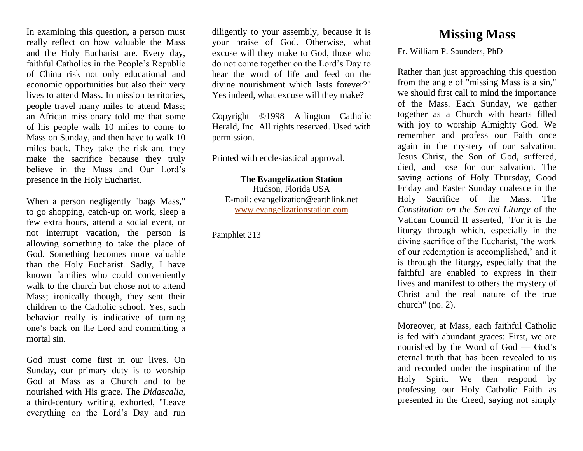In examining this question, a person must really reflect on how valuable the Mass and the Holy Eucharist are. Every day, faithful Catholics in the People's Republic of China risk not only educational and economic opportunities but also their very lives to attend Mass. In mission territories, people travel many miles to attend Mass; an African missionary told me that some of his people walk 10 miles to come to Mass on Sunday, and then have to walk 10 miles back. They take the risk and they make the sacrifice because they truly believe in the Mass and Our Lord's presence in the Holy Eucharist.

When a person negligently "bags Mass," to go shopping, catch-up on work, sleep a few extra hours, attend a social event, or not interrupt vacation, the person is allowing something to take the place of God. Something becomes more valuable than the Holy Eucharist. Sadly, I have known families who could conveniently walk to the church but chose not to attend Mass; ironically though, they sent their children to the Catholic school. Yes, such behavior really is indicative of turning one's back on the Lord and committing a mortal sin.

God must come first in our lives. On Sunday, our primary duty is to worship God at Mass as a Church and to be nourished with His grace. The *Didascalia*, a third-century writing, exhorted, "Leave everything on the Lord's Day and run

diligently to your assembly, because it is your praise of God. Otherwise, what excuse will they make to God, those who do not come together on the Lord's Day to hear the word of life and feed on the divine nourishment which lasts forever?" Yes indeed, what excuse will they make?

Copyright ©1998 Arlington Catholic Herald, Inc. All rights reserved. Used with permission.

Printed with ecclesiastical approval.

**The Evangelization Station** Hudson, Florida USA E-mail: evangelization@earthlink.net [www.evangelizationstation.com](http://www.pjpiisoe.org/)

Pamphlet 213

## **Missing Mass**

Fr. William P. Saunders, PhD

Rather than just approaching this question from the angle of "missing Mass is a sin," we should first call to mind the importance of the Mass. Each Sunday, we gather together as a Church with hearts filled with joy to worship Almighty God. We remember and profess our Faith once again in the mystery of our salvation: Jesus Christ, the Son of God, suffered, died, and rose for our salvation. The saving actions of Holy Thursday, Good Friday and Easter Sunday coalesce in the Holy Sacrifice of the Mass. The *Constitution on the Sacred Liturgy* of the Vatican Council II asserted, "For it is the liturgy through which, especially in the divine sacrifice of the Eucharist, 'the work of our redemption is accomplished,' and it is through the liturgy, especially that the faithful are enabled to express in their lives and manifest to others the mystery of Christ and the real nature of the true church" (no. 2).

Moreover, at Mass, each faithful Catholic is fed with abundant graces: First, we are nourished by the Word of God — God's eternal truth that has been revealed to us and recorded under the inspiration of the Holy Spirit. We then respond by professing our Holy Catholic Faith as presented in the Creed, saying not simply